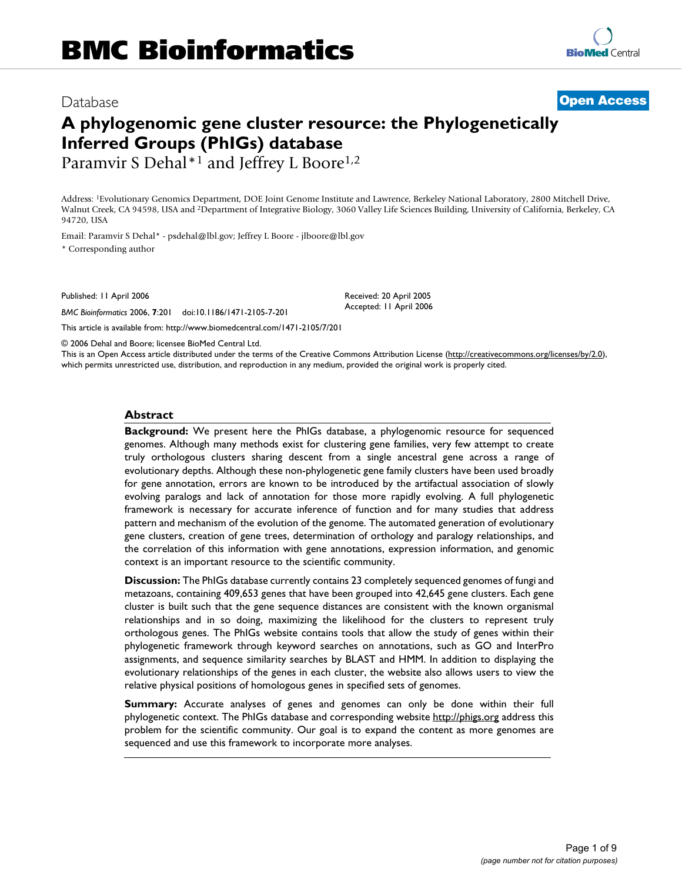# Database **[Open Access](http://www.biomedcentral.com/info/about/charter/) A phylogenomic gene cluster resource: the Phylogenetically Inferred Groups (PhIGs) database** Paramvir S Dehal\*<sup>1</sup> and Jeffrey L Boore<sup>1,2</sup>

Address: 1Evolutionary Genomics Department, DOE Joint Genome Institute and Lawrence, Berkeley National Laboratory, 2800 Mitchell Drive, Walnut Creek, CA 94598, USA and 2Department of Integrative Biology, 3060 Valley Life Sciences Building, University of California, Berkeley, CA 94720, USA

Email: Paramvir S Dehal\* - psdehal@lbl.gov; Jeffrey L Boore - jlboore@lbl.gov

\* Corresponding author

Published: 11 April 2006

*BMC Bioinformatics* 2006, **7**:201 doi:10.1186/1471-2105-7-201

Received: 20 April 2005 Accepted: 11 April 2006

[This article is available from: http://www.biomedcentral.com/1471-2105/7/201](http://www.biomedcentral.com/1471-2105/7/201)

© 2006 Dehal and Boore; licensee BioMed Central Ltd.

This is an Open Access article distributed under the terms of the Creative Commons Attribution License [\(http://creativecommons.org/licenses/by/2.0\)](http://creativecommons.org/licenses/by/2.0), which permits unrestricted use, distribution, and reproduction in any medium, provided the original work is properly cited.

#### **Abstract**

**Background:** We present here the PhIGs database, a phylogenomic resource for sequenced genomes. Although many methods exist for clustering gene families, very few attempt to create truly orthologous clusters sharing descent from a single ancestral gene across a range of evolutionary depths. Although these non-phylogenetic gene family clusters have been used broadly for gene annotation, errors are known to be introduced by the artifactual association of slowly evolving paralogs and lack of annotation for those more rapidly evolving. A full phylogenetic framework is necessary for accurate inference of function and for many studies that address pattern and mechanism of the evolution of the genome. The automated generation of evolutionary gene clusters, creation of gene trees, determination of orthology and paralogy relationships, and the correlation of this information with gene annotations, expression information, and genomic context is an important resource to the scientific community.

**Discussion:** The PhIGs database currently contains 23 completely sequenced genomes of fungi and metazoans, containing 409,653 genes that have been grouped into 42,645 gene clusters. Each gene cluster is built such that the gene sequence distances are consistent with the known organismal relationships and in so doing, maximizing the likelihood for the clusters to represent truly orthologous genes. The PhIGs website contains tools that allow the study of genes within their phylogenetic framework through keyword searches on annotations, such as GO and InterPro assignments, and sequence similarity searches by BLAST and HMM. In addition to displaying the evolutionary relationships of the genes in each cluster, the website also allows users to view the relative physical positions of homologous genes in specified sets of genomes.

**Summary:** Accurate analyses of genes and genomes can only be done within their full phylogenetic context. The PhIGs database and corresponding website <http://phigs.org> address this problem for the scientific community. Our goal is to expand the content as more genomes are sequenced and use this framework to incorporate more analyses.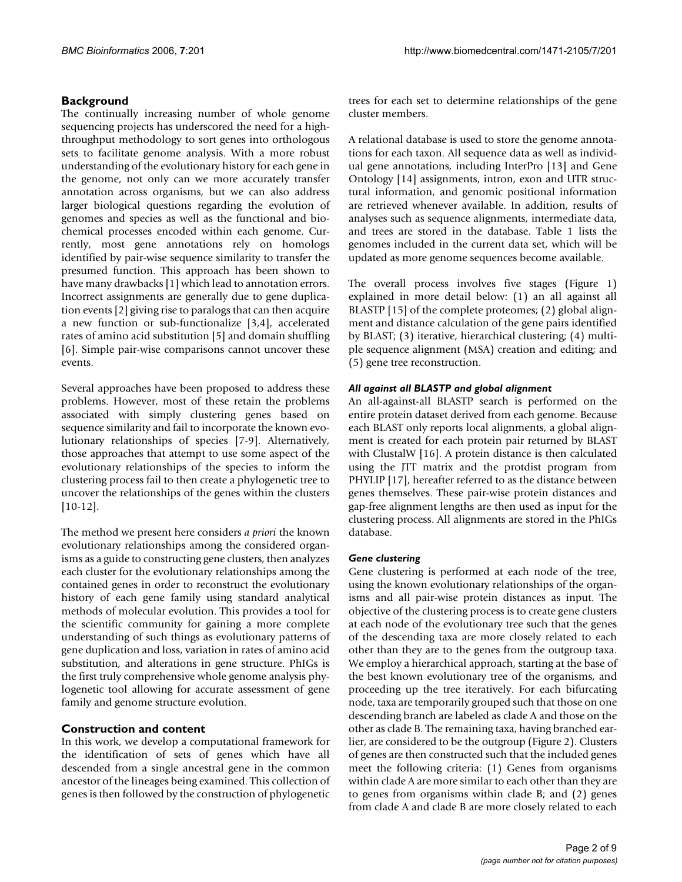# **Background**

The continually increasing number of whole genome sequencing projects has underscored the need for a highthroughput methodology to sort genes into orthologous sets to facilitate genome analysis. With a more robust understanding of the evolutionary history for each gene in the genome, not only can we more accurately transfer annotation across organisms, but we can also address larger biological questions regarding the evolution of genomes and species as well as the functional and biochemical processes encoded within each genome. Currently, most gene annotations rely on homologs identified by pair-wise sequence similarity to transfer the presumed function. This approach has been shown to have many drawbacks [1] which lead to annotation errors. Incorrect assignments are generally due to gene duplication events [2] giving rise to paralogs that can then acquire a new function or sub-functionalize [3,4], accelerated rates of amino acid substitution [5] and domain shuffling [6]. Simple pair-wise comparisons cannot uncover these events.

Several approaches have been proposed to address these problems. However, most of these retain the problems associated with simply clustering genes based on sequence similarity and fail to incorporate the known evolutionary relationships of species [7-9]. Alternatively, those approaches that attempt to use some aspect of the evolutionary relationships of the species to inform the clustering process fail to then create a phylogenetic tree to uncover the relationships of the genes within the clusters [10-12].

The method we present here considers *a priori* the known evolutionary relationships among the considered organisms as a guide to constructing gene clusters, then analyzes each cluster for the evolutionary relationships among the contained genes in order to reconstruct the evolutionary history of each gene family using standard analytical methods of molecular evolution. This provides a tool for the scientific community for gaining a more complete understanding of such things as evolutionary patterns of gene duplication and loss, variation in rates of amino acid substitution, and alterations in gene structure. PhIGs is the first truly comprehensive whole genome analysis phylogenetic tool allowing for accurate assessment of gene family and genome structure evolution.

# **Construction and content**

In this work, we develop a computational framework for the identification of sets of genes which have all descended from a single ancestral gene in the common ancestor of the lineages being examined. This collection of genes is then followed by the construction of phylogenetic trees for each set to determine relationships of the gene cluster members.

A relational database is used to store the genome annotations for each taxon. All sequence data as well as individual gene annotations, including InterPro [13] and Gene Ontology [14] assignments, intron, exon and UTR structural information, and genomic positional information are retrieved whenever available. In addition, results of analyses such as sequence alignments, intermediate data, and trees are stored in the database. Table 1 lists the genomes included in the current data set, which will be updated as more genome sequences become available.

The overall process involves five stages (Figure 1) explained in more detail below: (1) an all against all BLASTP [15] of the complete proteomes; (2) global alignment and distance calculation of the gene pairs identified by BLAST; (3) iterative, hierarchical clustering; (4) multiple sequence alignment (MSA) creation and editing; and (5) gene tree reconstruction.

# *All against all BLASTP and global alignment*

An all-against-all BLASTP search is performed on the entire protein dataset derived from each genome. Because each BLAST only reports local alignments, a global alignment is created for each protein pair returned by BLAST with ClustalW [16]. A protein distance is then calculated using the JTT matrix and the protdist program from PHYLIP [17], hereafter referred to as the distance between genes themselves. These pair-wise protein distances and gap-free alignment lengths are then used as input for the clustering process. All alignments are stored in the PhIGs database.

# *Gene clustering*

Gene clustering is performed at each node of the tree, using the known evolutionary relationships of the organisms and all pair-wise protein distances as input. The objective of the clustering process is to create gene clusters at each node of the evolutionary tree such that the genes of the descending taxa are more closely related to each other than they are to the genes from the outgroup taxa. We employ a hierarchical approach, starting at the base of the best known evolutionary tree of the organisms, and proceeding up the tree iteratively. For each bifurcating node, taxa are temporarily grouped such that those on one descending branch are labeled as clade A and those on the other as clade B. The remaining taxa, having branched earlier, are considered to be the outgroup (Figure 2). Clusters of genes are then constructed such that the included genes meet the following criteria: (1) Genes from organisms within clade A are more similar to each other than they are to genes from organisms within clade B; and (2) genes from clade A and clade B are more closely related to each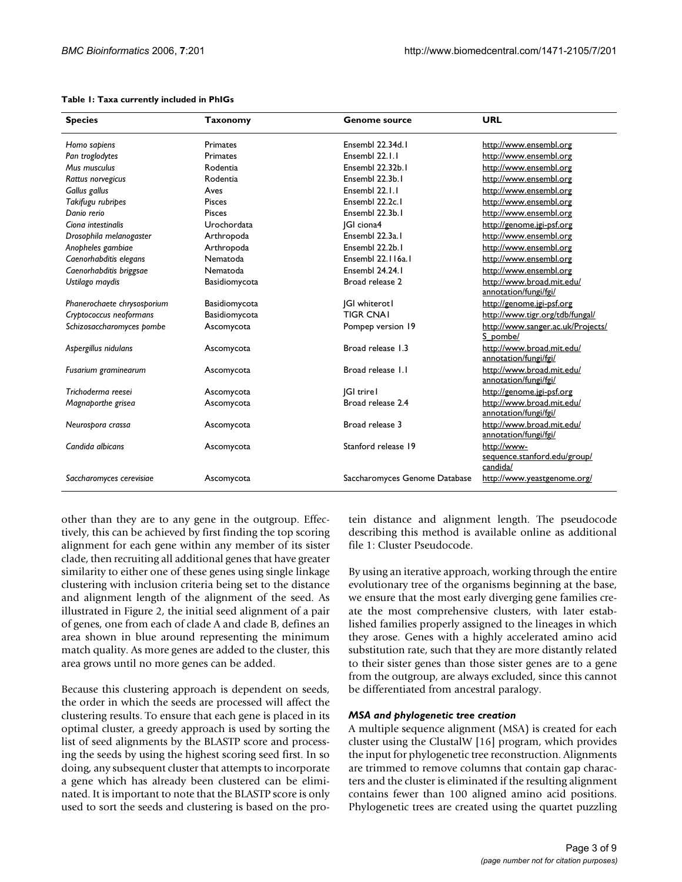| <b>Species</b>              | <b>Taxonomy</b> | <b>Genome source</b>          | <b>URL</b>                                              |
|-----------------------------|-----------------|-------------------------------|---------------------------------------------------------|
| Homo sapiens                | <b>Primates</b> | Ensembl 22.34d.1              | http://www.ensembl.org                                  |
| Pan troglodytes             | Primates        | Ensembl 22.1.1                | http://www.ensembl.org                                  |
| Mus musculus                | Rodentia        | Ensembl 22.32b.1              | http://www.ensembl.org                                  |
| Rattus norvegicus           | Rodentia        | Ensembl 22.3b.1               | http://www.ensembl.org                                  |
| Gallus gallus               | Aves            | Ensembl 22.1.1                | http://www.ensembl.org                                  |
| Takifugu rubripes           | Pisces          | Ensembl 22.2c.1               | http://www.ensembl.org                                  |
| Danio rerio                 | <b>Pisces</b>   | Ensembl 22.3b.1               | http://www.ensembl.org                                  |
| Ciona intestinalis          | Urochordata     | <b>IGI</b> ciona4             | http://genome.jgi-psf.org                               |
| Drosophila melanogaster     | Arthropoda      | Ensembl 22.3a.1               | http://www.ensembl.org                                  |
| Anopheles gambiae           | Arthropoda      | Ensembl 22.2b.1               | http://www.ensembl.org                                  |
| Caenorhabditis elegans      | Nematoda        | Ensembl 22.116a.1             | http://www.ensembl.org                                  |
| Caenorhabditis briggsae     | Nematoda        | Fnsembl 24.24.1               | http://www.ensembl.org                                  |
| Ustilago maydis             | Basidiomycota   | Broad release 2               | http://www.broad.mit.edu/                               |
|                             |                 |                               | annotation/fungi/fgi/                                   |
| Phanerochaete chrysosporium | Basidiomycota   | <b>GI</b> whiterot            | http://genome.jgi-psf.org                               |
| Cryptococcus neoformans     | Basidiomycota   | <b>TIGR CNAI</b>              | http://www.tigr.org/tdb/fungal/                         |
| Schizosaccharomyces pombe   | Ascomycota      | Pompep version 19             | http://www.sanger.ac.uk/Projects/<br>S pombe/           |
| Aspergillus nidulans        | Ascomycota      | Broad release 1.3             | http://www.broad.mit.edu/<br>annotation/fungi/fgi/      |
| Fusarium graminearum        | Ascomycota      | Broad release 1.1             | http://www.broad.mit.edu/<br>annotation/fungi/fgi/      |
| Trichoderma reesei          | Ascomycota      | <b>GI trirel</b>              | http://genome.igi-psf.org                               |
| Magnaporthe grisea          | Ascomycota      | Broad release 2.4             | http://www.broad.mit.edu/<br>annotation/fungi/fgi/      |
| Neurospora crassa           | Ascomycota      | Broad release 3               | http://www.broad.mit.edu/<br>annotation/fungi/fgi/      |
| Candida albicans            | Ascomycota      | Stanford release 19           | http://www-<br>sequence.stanford.edu/group/<br>candida/ |
| Saccharomyces cerevisiae    | Ascomycota      | Saccharomyces Genome Database | http://www.yeastgenome.org/                             |

#### **Table 1: Taxa currently included in PhIGs**

other than they are to any gene in the outgroup. Effectively, this can be achieved by first finding the top scoring alignment for each gene within any member of its sister clade, then recruiting all additional genes that have greater similarity to either one of these genes using single linkage clustering with inclusion criteria being set to the distance and alignment length of the alignment of the seed. As illustrated in Figure 2, the initial seed alignment of a pair of genes, one from each of clade A and clade B, defines an area shown in blue around representing the minimum match quality. As more genes are added to the cluster, this area grows until no more genes can be added.

Because this clustering approach is dependent on seeds, the order in which the seeds are processed will affect the clustering results. To ensure that each gene is placed in its optimal cluster, a greedy approach is used by sorting the list of seed alignments by the BLASTP score and processing the seeds by using the highest scoring seed first. In so doing, any subsequent cluster that attempts to incorporate a gene which has already been clustered can be eliminated. It is important to note that the BLASTP score is only used to sort the seeds and clustering is based on the protein distance and alignment length. The pseudocode describing this method is available online as additional file 1: Cluster Pseudocode.

By using an iterative approach, working through the entire evolutionary tree of the organisms beginning at the base, we ensure that the most early diverging gene families create the most comprehensive clusters, with later established families properly assigned to the lineages in which they arose. Genes with a highly accelerated amino acid substitution rate, such that they are more distantly related to their sister genes than those sister genes are to a gene from the outgroup, are always excluded, since this cannot be differentiated from ancestral paralogy.

# *MSA and phylogenetic tree creation*

A multiple sequence alignment (MSA) is created for each cluster using the ClustalW [16] program, which provides the input for phylogenetic tree reconstruction. Alignments are trimmed to remove columns that contain gap characters and the cluster is eliminated if the resulting alignment contains fewer than 100 aligned amino acid positions. Phylogenetic trees are created using the quartet puzzling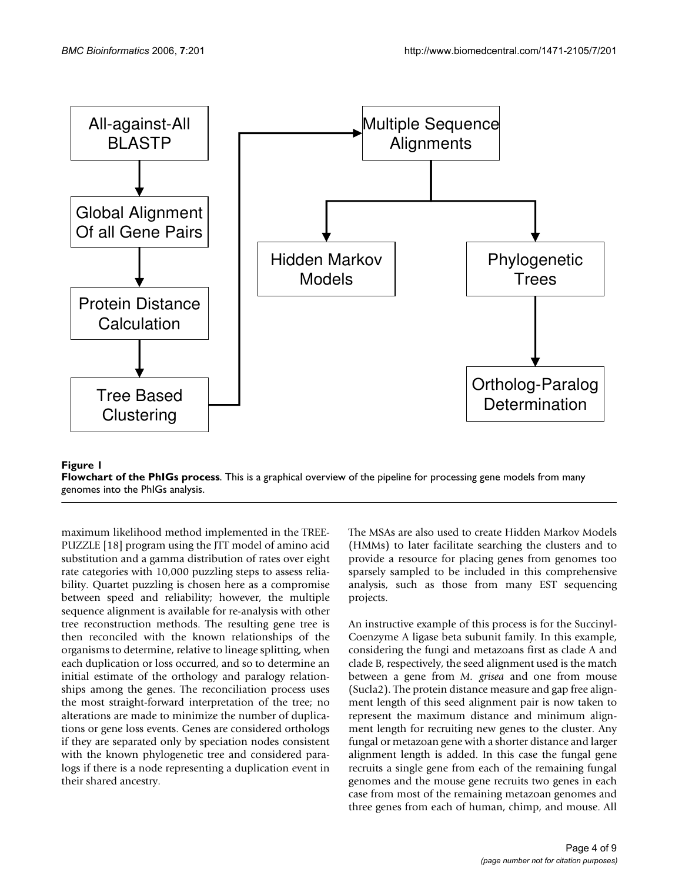

#### **Figure 1 Flowchart of the PhIGs process**. This is a graphical overview of the pipeline for processing gene models from many genomes into the PhIGs analysis.

maximum likelihood method implemented in the TREE-PUZZLE [18] program using the JTT model of amino acid substitution and a gamma distribution of rates over eight rate categories with 10,000 puzzling steps to assess reliability. Quartet puzzling is chosen here as a compromise between speed and reliability; however, the multiple sequence alignment is available for re-analysis with other tree reconstruction methods. The resulting gene tree is then reconciled with the known relationships of the organisms to determine, relative to lineage splitting, when each duplication or loss occurred, and so to determine an initial estimate of the orthology and paralogy relationships among the genes. The reconciliation process uses the most straight-forward interpretation of the tree; no alterations are made to minimize the number of duplications or gene loss events. Genes are considered orthologs if they are separated only by speciation nodes consistent with the known phylogenetic tree and considered paralogs if there is a node representing a duplication event in their shared ancestry.

The MSAs are also used to create Hidden Markov Models (HMMs) to later facilitate searching the clusters and to provide a resource for placing genes from genomes too sparsely sampled to be included in this comprehensive analysis, such as those from many EST sequencing projects.

An instructive example of this process is for the Succinyl-Coenzyme A ligase beta subunit family. In this example, considering the fungi and metazoans first as clade A and clade B, respectively, the seed alignment used is the match between a gene from *M. grisea* and one from mouse (Sucla2). The protein distance measure and gap free alignment length of this seed alignment pair is now taken to represent the maximum distance and minimum alignment length for recruiting new genes to the cluster. Any fungal or metazoan gene with a shorter distance and larger alignment length is added. In this case the fungal gene recruits a single gene from each of the remaining fungal genomes and the mouse gene recruits two genes in each case from most of the remaining metazoan genomes and three genes from each of human, chimp, and mouse. All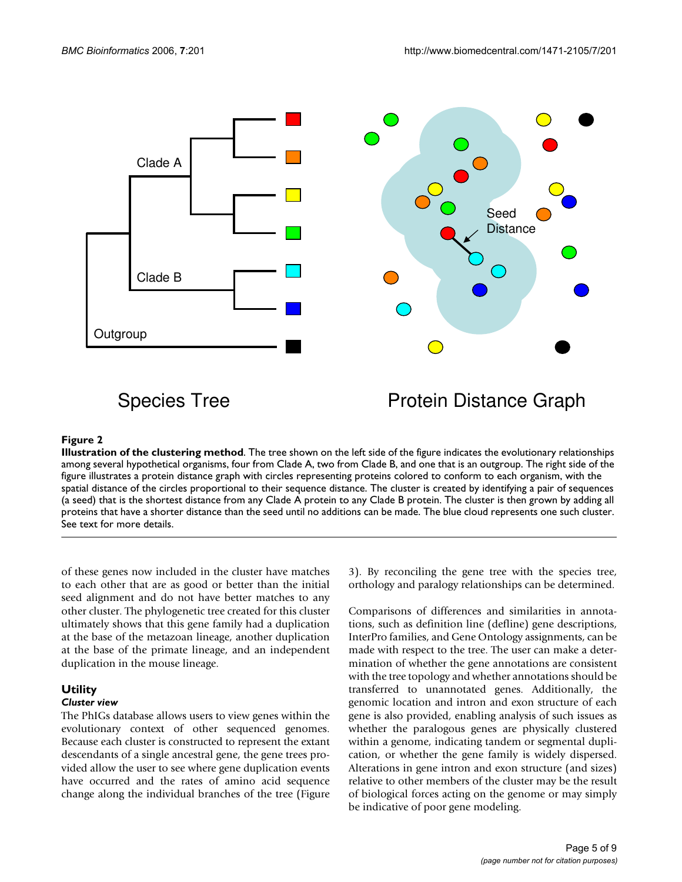

#### **Figure 2**

**Illustration of the clustering method**. The tree shown on the left side of the figure indicates the evolutionary relationships among several hypothetical organisms, four from Clade A, two from Clade B, and one that is an outgroup. The right side of the figure illustrates a protein distance graph with circles representing proteins colored to conform to each organism, with the spatial distance of the circles proportional to their sequence distance. The cluster is created by identifying a pair of sequences (a seed) that is the shortest distance from any Clade A protein to any Clade B protein. The cluster is then grown by adding all proteins that have a shorter distance than the seed until no additions can be made. The blue cloud represents one such cluster. See text for more details.

of these genes now included in the cluster have matches to each other that are as good or better than the initial seed alignment and do not have better matches to any other cluster. The phylogenetic tree created for this cluster ultimately shows that this gene family had a duplication at the base of the metazoan lineage, another duplication at the base of the primate lineage, and an independent duplication in the mouse lineage.

# **Utility**

#### *Cluster view*

The PhIGs database allows users to view genes within the evolutionary context of other sequenced genomes. Because each cluster is constructed to represent the extant descendants of a single ancestral gene, the gene trees provided allow the user to see where gene duplication events have occurred and the rates of amino acid sequence change along the individual branches of the tree (Figure 3). By reconciling the gene tree with the species tree, orthology and paralogy relationships can be determined.

Comparisons of differences and similarities in annotations, such as definition line (defline) gene descriptions, InterPro families, and Gene Ontology assignments, can be made with respect to the tree. The user can make a determination of whether the gene annotations are consistent with the tree topology and whether annotations should be transferred to unannotated genes. Additionally, the genomic location and intron and exon structure of each gene is also provided, enabling analysis of such issues as whether the paralogous genes are physically clustered within a genome, indicating tandem or segmental duplication, or whether the gene family is widely dispersed. Alterations in gene intron and exon structure (and sizes) relative to other members of the cluster may be the result of biological forces acting on the genome or may simply be indicative of poor gene modeling.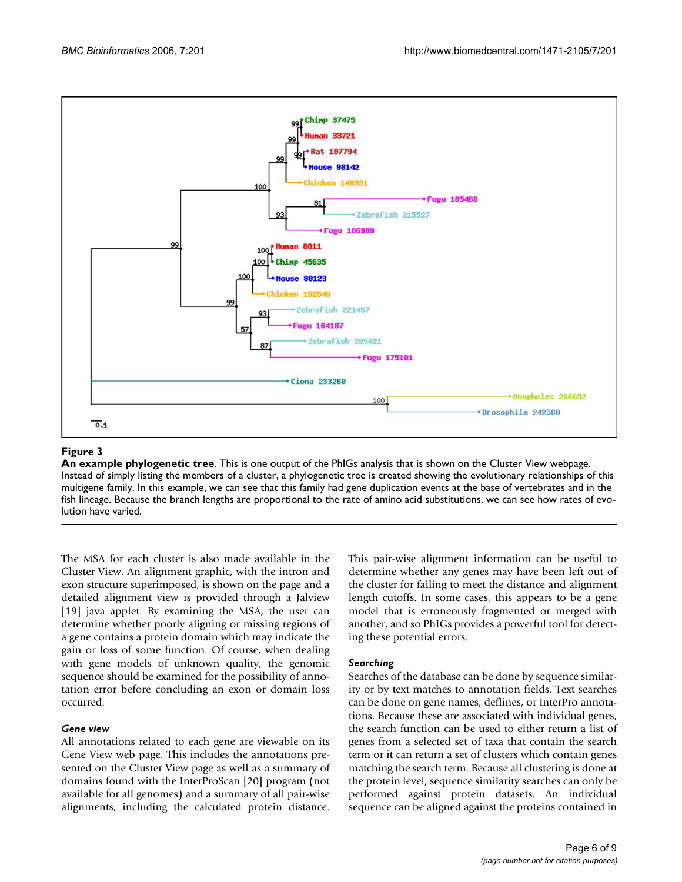

# **Figure 3**

**An example phylogenetic tree**. This is one output of the PhIGs analysis that is shown on the Cluster View webpage. Instead of simply listing the members of a cluster, a phylogenetic tree is created showing the evolutionary relationships of this multigene family. In this example, we can see that this family had gene duplication events at the base of vertebrates and in the fish lineage. Because the branch lengths are proportional to the rate of amino acid substitutions, we can see how rates of evolution have varied.

The MSA for each cluster is also made available in the Cluster View. An alignment graphic, with the intron and exon structure superimposed, is shown on the page and a detailed alignment view is provided through a Jalview [19] java applet. By examining the MSA, the user can determine whether poorly aligning or missing regions of a gene contains a protein domain which may indicate the gain or loss of some function. Of course, when dealing with gene models of unknown quality, the genomic sequence should be examined for the possibility of annotation error before concluding an exon or domain loss occurred.

# *Gene view*

All annotations related to each gene are viewable on its Gene View web page. This includes the annotations presented on the Cluster View page as well as a summary of domains found with the InterProScan [20] program (not available for all genomes) and a summary of all pair-wise alignments, including the calculated protein distance.

This pair-wise alignment information can be useful to determine whether any genes may have been left out of the cluster for failing to meet the distance and alignment length cutoffs. In some cases, this appears to be a gene model that is erroneously fragmented or merged with another, and so PhIGs provides a powerful tool for detecting these potential errors.

# *Searching*

Searches of the database can be done by sequence similarity or by text matches to annotation fields. Text searches can be done on gene names, deflines, or InterPro annotations. Because these are associated with individual genes, the search function can be used to either return a list of genes from a selected set of taxa that contain the search term or it can return a set of clusters which contain genes matching the search term. Because all clustering is done at the protein level, sequence similarity searches can only be performed against protein datasets. An individual sequence can be aligned against the proteins contained in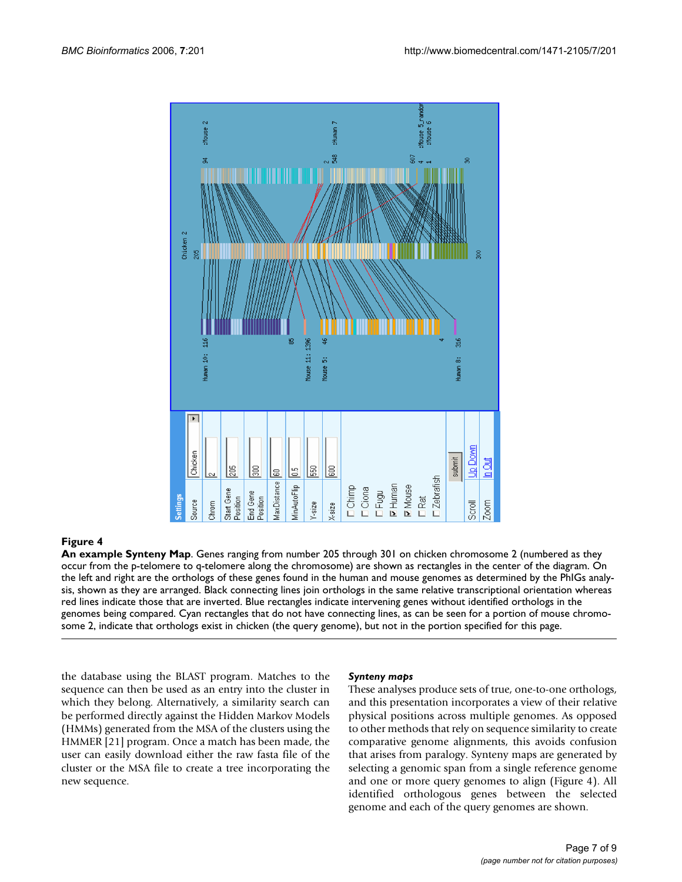

# **Figure 4**

**An example Synteny Map**. Genes ranging from number 205 through 301 on chicken chromosome 2 (numbered as they occur from the p-telomere to q-telomere along the chromosome) are shown as rectangles in the center of the diagram. On the left and right are the orthologs of these genes found in the human and mouse genomes as determined by the PhIGs analysis, shown as they are arranged. Black connecting lines join orthologs in the same relative transcriptional orientation whereas red lines indicate those that are inverted. Blue rectangles indicate intervening genes without identified orthologs in the genomes being compared. Cyan rectangles that do not have connecting lines, as can be seen for a portion of mouse chromosome 2, indicate that orthologs exist in chicken (the query genome), but not in the portion specified for this page.

the database using the BLAST program. Matches to the sequence can then be used as an entry into the cluster in which they belong. Alternatively, a similarity search can be performed directly against the Hidden Markov Models (HMMs) generated from the MSA of the clusters using the HMMER [21] program. Once a match has been made, the user can easily download either the raw fasta file of the cluster or the MSA file to create a tree incorporating the new sequence.

#### *Synteny maps*

These analyses produce sets of true, one-to-one orthologs, and this presentation incorporates a view of their relative physical positions across multiple genomes. As opposed to other methods that rely on sequence similarity to create comparative genome alignments, this avoids confusion that arises from paralogy. Synteny maps are generated by selecting a genomic span from a single reference genome and one or more query genomes to align (Figure 4). All identified orthologous genes between the selected genome and each of the query genomes are shown.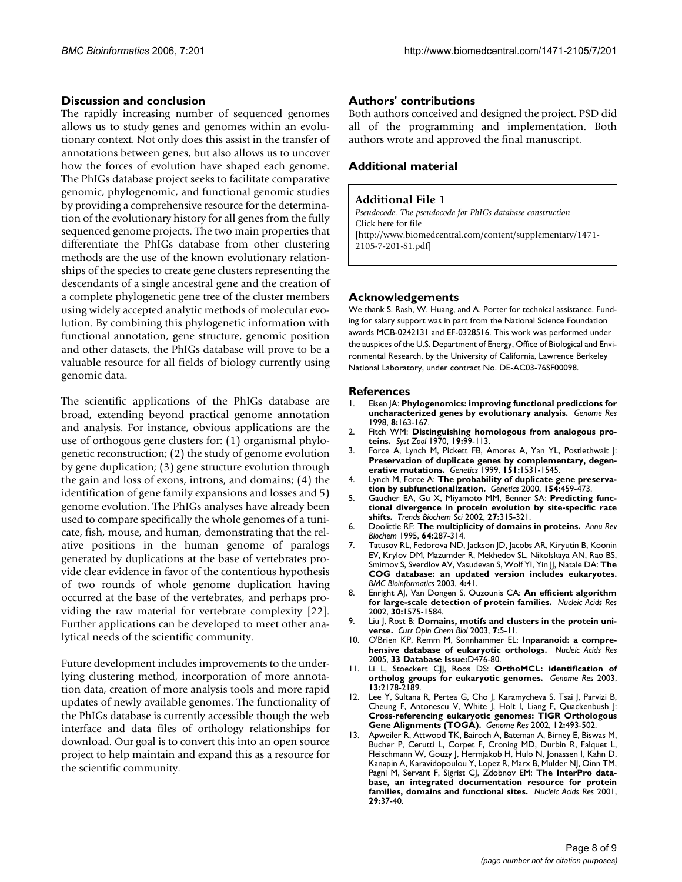#### **Discussion and conclusion**

The rapidly increasing number of sequenced genomes allows us to study genes and genomes within an evolutionary context. Not only does this assist in the transfer of annotations between genes, but also allows us to uncover how the forces of evolution have shaped each genome. The PhIGs database project seeks to facilitate comparative genomic, phylogenomic, and functional genomic studies by providing a comprehensive resource for the determination of the evolutionary history for all genes from the fully sequenced genome projects. The two main properties that differentiate the PhIGs database from other clustering methods are the use of the known evolutionary relationships of the species to create gene clusters representing the descendants of a single ancestral gene and the creation of a complete phylogenetic gene tree of the cluster members using widely accepted analytic methods of molecular evolution. By combining this phylogenetic information with functional annotation, gene structure, genomic position and other datasets, the PhIGs database will prove to be a valuable resource for all fields of biology currently using genomic data.

The scientific applications of the PhIGs database are broad, extending beyond practical genome annotation and analysis. For instance, obvious applications are the use of orthogous gene clusters for: (1) organismal phylogenetic reconstruction; (2) the study of genome evolution by gene duplication; (3) gene structure evolution through the gain and loss of exons, introns, and domains; (4) the identification of gene family expansions and losses and 5) genome evolution. The PhIGs analyses have already been used to compare specifically the whole genomes of a tunicate, fish, mouse, and human, demonstrating that the relative positions in the human genome of paralogs generated by duplications at the base of vertebrates provide clear evidence in favor of the contentious hypothesis of two rounds of whole genome duplication having occurred at the base of the vertebrates, and perhaps providing the raw material for vertebrate complexity [22]. Further applications can be developed to meet other analytical needs of the scientific community.

Future development includes improvements to the underlying clustering method, incorporation of more annotation data, creation of more analysis tools and more rapid updates of newly available genomes. The functionality of the PhIGs database is currently accessible though the web interface and data files of orthology relationships for download. Our goal is to convert this into an open source project to help maintain and expand this as a resource for the scientific community.

#### **Authors' contributions**

Both authors conceived and designed the project. PSD did all of the programming and implementation. Both authors wrote and approved the final manuscript.

#### **Additional material**

#### **Additional File 1**

*Pseudocode. The pseudocode for PhIGs database construction* Click here for file [\[http://www.biomedcentral.com/content/supplementary/1471-](http://www.biomedcentral.com/content/supplementary/1471-2105-7-201-S1.pdf) 2105-7-201-S1.pdf]

#### **Acknowledgements**

We thank S. Rash, W. Huang, and A. Porter for technical assistance. Funding for salary support was in part from the National Science Foundation awards MCB-0242131 and EF-0328516. This work was performed under the auspices of the U.S. Department of Energy, Office of Biological and Environmental Research, by the University of California, Lawrence Berkeley National Laboratory, under contract No. DE-AC03-76SF00098.

#### **References**

- 1. Eisen JA: **Phylogenomics: improving functional predictions for uncharacterized genes by evolutionary analysis.** *Genome Res* 1998, **8:**163-167.
- 2. Fitch WM: **[Distinguishing homologous from analogous pro](http://www.ncbi.nlm.nih.gov/entrez/query.fcgi?cmd=Retrieve&db=PubMed&dopt=Abstract&list_uids=5449325)[teins.](http://www.ncbi.nlm.nih.gov/entrez/query.fcgi?cmd=Retrieve&db=PubMed&dopt=Abstract&list_uids=5449325)** *Syst Zool* 1970, **19:**99-113.
- 3. Force A, Lynch M, Pickett FB, Amores A, Yan YL, Postlethwait J: **[Preservation of duplicate genes by complementary, degen](http://www.ncbi.nlm.nih.gov/entrez/query.fcgi?cmd=Retrieve&db=PubMed&dopt=Abstract&list_uids=10101175)[erative mutations.](http://www.ncbi.nlm.nih.gov/entrez/query.fcgi?cmd=Retrieve&db=PubMed&dopt=Abstract&list_uids=10101175)** *Genetics* 1999, **151:**1531-1545.
- 4. Lynch M, Force A: **[The probability of duplicate gene preserva](http://www.ncbi.nlm.nih.gov/entrez/query.fcgi?cmd=Retrieve&db=PubMed&dopt=Abstract&list_uids=10629003)[tion by subfunctionalization.](http://www.ncbi.nlm.nih.gov/entrez/query.fcgi?cmd=Retrieve&db=PubMed&dopt=Abstract&list_uids=10629003)** *Genetics* 2000, **154:**459-473.
- 5. Gaucher EA, Gu X, Miyamoto MM, Benner SA: **[Predicting func](http://www.ncbi.nlm.nih.gov/entrez/query.fcgi?cmd=Retrieve&db=PubMed&dopt=Abstract&list_uids=12069792)[tional divergence in protein evolution by site-specific rate](http://www.ncbi.nlm.nih.gov/entrez/query.fcgi?cmd=Retrieve&db=PubMed&dopt=Abstract&list_uids=12069792) [shifts.](http://www.ncbi.nlm.nih.gov/entrez/query.fcgi?cmd=Retrieve&db=PubMed&dopt=Abstract&list_uids=12069792)** *Trends Biochem Sci* 2002, **27:**315-321.
- 6. Doolittle RF: **[The multiplicity of domains in proteins.](http://www.ncbi.nlm.nih.gov/entrez/query.fcgi?cmd=Retrieve&db=PubMed&dopt=Abstract&list_uids=7574483)** *Annu Rev Biochem* 1995, **64:**287-314.
- 7. Tatusov RL, Fedorova ND, Jackson JD, Jacobs AR, Kiryutin B, Koonin EV, Krylov DM, Mazumder R, Mekhedov SL, Nikolskaya AN, Rao BS, Smirnov S, Sverdlov AV, Vasudevan S, Wolf YI, Yin JJ, Natale DA: **[The](http://www.ncbi.nlm.nih.gov/entrez/query.fcgi?cmd=Retrieve&db=PubMed&dopt=Abstract&list_uids=12969510) [COG database: an updated version includes eukaryotes.](http://www.ncbi.nlm.nih.gov/entrez/query.fcgi?cmd=Retrieve&db=PubMed&dopt=Abstract&list_uids=12969510)** *BMC Bioinformatics* 2003, **4:**41.
- 8. Enright AJ, Van Dongen S, Ouzounis CA: **[An efficient algorithm](http://www.ncbi.nlm.nih.gov/entrez/query.fcgi?cmd=Retrieve&db=PubMed&dopt=Abstract&list_uids=11917018) [for large-scale detection of protein families.](http://www.ncbi.nlm.nih.gov/entrez/query.fcgi?cmd=Retrieve&db=PubMed&dopt=Abstract&list_uids=11917018)** *Nucleic Acids Res* 2002, **30:**1575-1584.
- 9. Liu J, Rost B: **[Domains, motifs and clusters in the protein uni](http://www.ncbi.nlm.nih.gov/entrez/query.fcgi?cmd=Retrieve&db=PubMed&dopt=Abstract&list_uids=12547420)[verse.](http://www.ncbi.nlm.nih.gov/entrez/query.fcgi?cmd=Retrieve&db=PubMed&dopt=Abstract&list_uids=12547420)** *Curr Opin Chem Biol* 2003, **7:**5-11.
- 10. O'Brien KP, Remm M, Sonnhammer EL: **Inparanoid: a comprehensive database of eukaryotic orthologs.** *Nucleic Acids Res* 2005, **33 Database Issue:**D476-80.
- 11. Li L, Stoeckert CJJ, Roos DS: **[OrthoMCL: identification of](http://www.ncbi.nlm.nih.gov/entrez/query.fcgi?cmd=Retrieve&db=PubMed&dopt=Abstract&list_uids=12952885) [ortholog groups for eukaryotic genomes.](http://www.ncbi.nlm.nih.gov/entrez/query.fcgi?cmd=Retrieve&db=PubMed&dopt=Abstract&list_uids=12952885)** *Genome Res* 2003, **13:**2178-2189.
- 12. Lee Y, Sultana R, Pertea G, Cho J, Karamycheva S, Tsai J, Parvizi B, Cheung F, Antonescu V, White J, Holt I, Liang F, Quackenbush J: **[Cross-referencing eukaryotic genomes: TIGR Orthologous](http://www.ncbi.nlm.nih.gov/entrez/query.fcgi?cmd=Retrieve&db=PubMed&dopt=Abstract&list_uids=11875039) [Gene Alignments \(TOGA\).](http://www.ncbi.nlm.nih.gov/entrez/query.fcgi?cmd=Retrieve&db=PubMed&dopt=Abstract&list_uids=11875039)** *Genome Res* 2002, **12:**493-502.
- 13. Apweiler R, Attwood TK, Bairoch A, Bateman A, Birney E, Biswas M, Bucher P, Cerutti L, Corpet F, Croning MD, Durbin R, Falquet L, Fleischmann W, Gouzy J, Hermjakob H, Hulo N, Jonassen I, Kahn D, Kanapin A, Karavidopoulou Y, Lopez R, Marx B, Mulder NJ, Oinn TM, Pagni M, Servant F, Sigrist CJ, Zdobnov EM: **[The InterPro data](http://www.ncbi.nlm.nih.gov/entrez/query.fcgi?cmd=Retrieve&db=PubMed&dopt=Abstract&list_uids=11125043)[base, an integrated documentation resource for protein](http://www.ncbi.nlm.nih.gov/entrez/query.fcgi?cmd=Retrieve&db=PubMed&dopt=Abstract&list_uids=11125043) [families, domains and functional sites.](http://www.ncbi.nlm.nih.gov/entrez/query.fcgi?cmd=Retrieve&db=PubMed&dopt=Abstract&list_uids=11125043)** *Nucleic Acids Res* 2001, **29:**37-40.